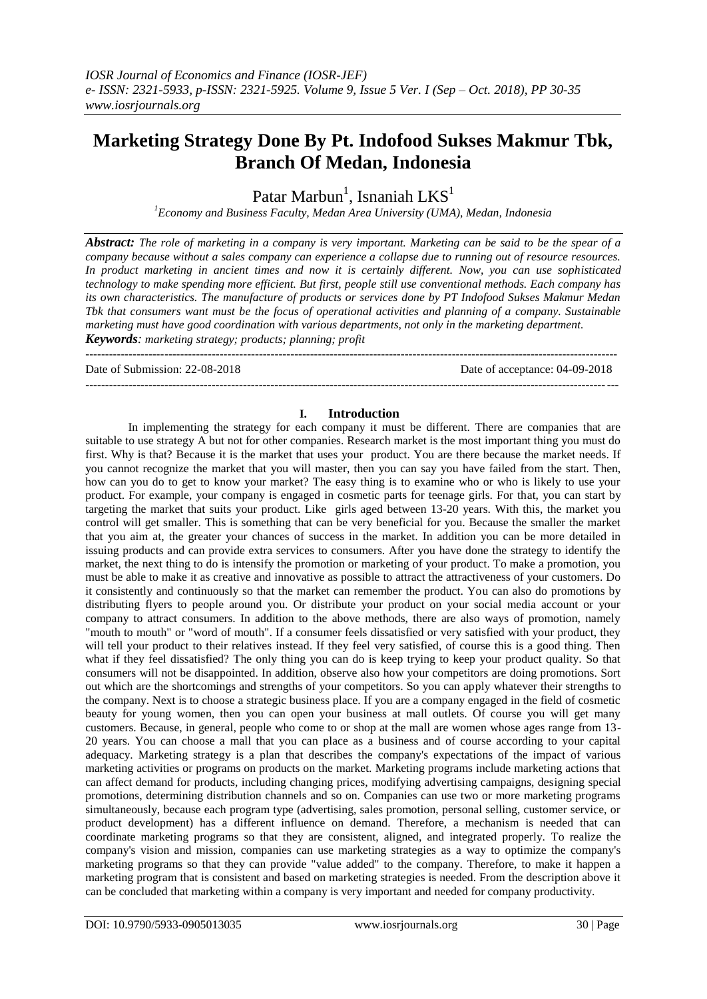# **Marketing Strategy Done By Pt. Indofood Sukses Makmur Tbk, Branch Of Medan, Indonesia**

Patar Marbun $^1$ , Isnaniah  $LKS^1$ 

*<sup>1</sup>Economy and Business Faculty, Medan Area University (UMA), Medan, Indonesia*

*Abstract: The role of marketing in a company is very important. Marketing can be said to be the spear of a company because without a sales company can experience a collapse due to running out of resource resources. In product marketing in ancient times and now it is certainly different. Now, you can use sophisticated technology to make spending more efficient. But first, people still use conventional methods. Each company has its own characteristics. The manufacture of products or services done by PT Indofood Sukses Makmur Medan Tbk that consumers want must be the focus of operational activities and planning of a company. Sustainable marketing must have good coordination with various departments, not only in the marketing department. Keywords: marketing strategy; products; planning; profit*

--------------------------------------------------------------------------------------------------------------------------------------- Date of Submission: 22-08-2018 Date of acceptance: 04-09-2018 ---------------------------------------------------------------------------------------------------------------------------------------

# **I. Introduction**

In implementing the strategy for each company it must be different. There are companies that are suitable to use strategy A but not for other companies. Research market is the most important thing you must do first. Why is that? Because it is the market that uses your product. You are there because the market needs. If you cannot recognize the market that you will master, then you can say you have failed from the start. Then, how can you do to get to know your market? The easy thing is to examine who or who is likely to use your product. For example, your company is engaged in cosmetic parts for teenage girls. For that, you can start by targeting the market that suits your product. Like girls aged between 13-20 years. With this, the market you control will get smaller. This is something that can be very beneficial for you. Because the smaller the market that you aim at, the greater your chances of success in the market. In addition you can be more detailed in issuing products and can provide extra services to consumers. After you have done the strategy to identify the market, the next thing to do is intensify the promotion or marketing of your product. To make a promotion, you must be able to make it as creative and innovative as possible to attract the attractiveness of your customers. Do it consistently and continuously so that the market can remember the product. You can also do promotions by distributing flyers to people around you. Or distribute your product on your social media account or your company to attract consumers. In addition to the above methods, there are also ways of promotion, namely "mouth to mouth" or "word of mouth". If a consumer feels dissatisfied or very satisfied with your product, they will tell your product to their relatives instead. If they feel very satisfied, of course this is a good thing. Then what if they feel dissatisfied? The only thing you can do is keep trying to keep your product quality. So that consumers will not be disappointed. In addition, observe also how your competitors are doing promotions. Sort out which are the shortcomings and strengths of your competitors. So you can apply whatever their strengths to the company. Next is to choose a strategic business place. If you are a company engaged in the field of cosmetic beauty for young women, then you can open your business at mall outlets. Of course you will get many customers. Because, in general, people who come to or shop at the mall are women whose ages range from 13- 20 years. You can choose a mall that you can place as a business and of course according to your capital adequacy. Marketing strategy is a plan that describes the company's expectations of the impact of various marketing activities or programs on products on the market. Marketing programs include marketing actions that can affect demand for products, including changing prices, modifying advertising campaigns, designing special promotions, determining distribution channels and so on. Companies can use two or more marketing programs simultaneously, because each program type (advertising, sales promotion, personal selling, customer service, or product development) has a different influence on demand. Therefore, a mechanism is needed that can coordinate marketing programs so that they are consistent, aligned, and integrated properly. To realize the company's vision and mission, companies can use marketing strategies as a way to optimize the company's marketing programs so that they can provide "value added" to the company. Therefore, to make it happen a marketing program that is consistent and based on marketing strategies is needed. From the description above it can be concluded that marketing within a company is very important and needed for company productivity.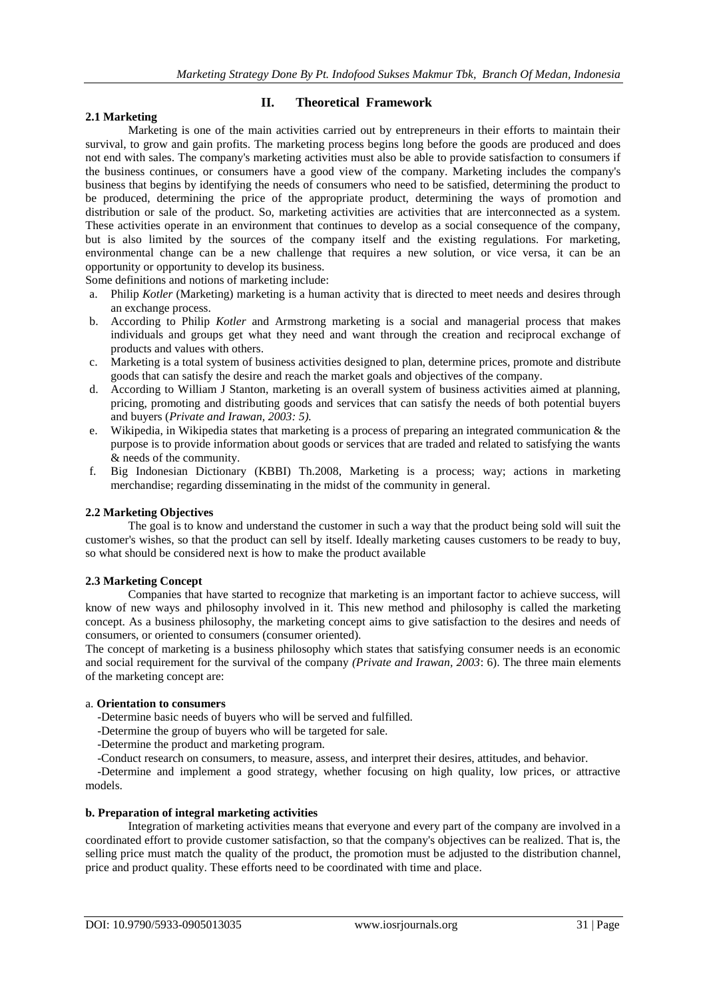# **2.1 Marketing**

# **II. Theoretical Framework**

Marketing is one of the main activities carried out by entrepreneurs in their efforts to maintain their survival, to grow and gain profits. The marketing process begins long before the goods are produced and does not end with sales. The company's marketing activities must also be able to provide satisfaction to consumers if the business continues, or consumers have a good view of the company. Marketing includes the company's business that begins by identifying the needs of consumers who need to be satisfied, determining the product to be produced, determining the price of the appropriate product, determining the ways of promotion and distribution or sale of the product. So, marketing activities are activities that are interconnected as a system. These activities operate in an environment that continues to develop as a social consequence of the company, but is also limited by the sources of the company itself and the existing regulations. For marketing, environmental change can be a new challenge that requires a new solution, or vice versa, it can be an opportunity or opportunity to develop its business.

Some definitions and notions of marketing include:

- a. Philip *Kotler* (Marketing) marketing is a human activity that is directed to meet needs and desires through an exchange process.
- b. According to Philip *Kotler* and Armstrong marketing is a social and managerial process that makes individuals and groups get what they need and want through the creation and reciprocal exchange of products and values with others.
- c. Marketing is a total system of business activities designed to plan, determine prices, promote and distribute goods that can satisfy the desire and reach the market goals and objectives of the company.
- d. According to William J Stanton, marketing is an overall system of business activities aimed at planning, pricing, promoting and distributing goods and services that can satisfy the needs of both potential buyers and buyers (*Private and Irawan, 2003: 5).*
- e. Wikipedia, in Wikipedia states that marketing is a process of preparing an integrated communication & the purpose is to provide information about goods or services that are traded and related to satisfying the wants & needs of the community.
- f. Big Indonesian Dictionary (KBBI) Th.2008, Marketing is a process; way; actions in marketing merchandise; regarding disseminating in the midst of the community in general.

# **2.2 Marketing Objectives**

The goal is to know and understand the customer in such a way that the product being sold will suit the customer's wishes, so that the product can sell by itself. Ideally marketing causes customers to be ready to buy, so what should be considered next is how to make the product available

# **2.3 Marketing Concept**

Companies that have started to recognize that marketing is an important factor to achieve success, will know of new ways and philosophy involved in it. This new method and philosophy is called the marketing concept. As a business philosophy, the marketing concept aims to give satisfaction to the desires and needs of consumers, or oriented to consumers (consumer oriented).

The concept of marketing is a business philosophy which states that satisfying consumer needs is an economic and social requirement for the survival of the company *(Private and Irawan, 2003*: 6). The three main elements of the marketing concept are:

# a. **Orientation to consumers**

-Determine basic needs of buyers who will be served and fulfilled.

- -Determine the group of buyers who will be targeted for sale.
- -Determine the product and marketing program.
- -Conduct research on consumers, to measure, assess, and interpret their desires, attitudes, and behavior.

 -Determine and implement a good strategy, whether focusing on high quality, low prices, or attractive models.

# **b. Preparation of integral marketing activities**

Integration of marketing activities means that everyone and every part of the company are involved in a coordinated effort to provide customer satisfaction, so that the company's objectives can be realized. That is, the selling price must match the quality of the product, the promotion must be adjusted to the distribution channel, price and product quality. These efforts need to be coordinated with time and place.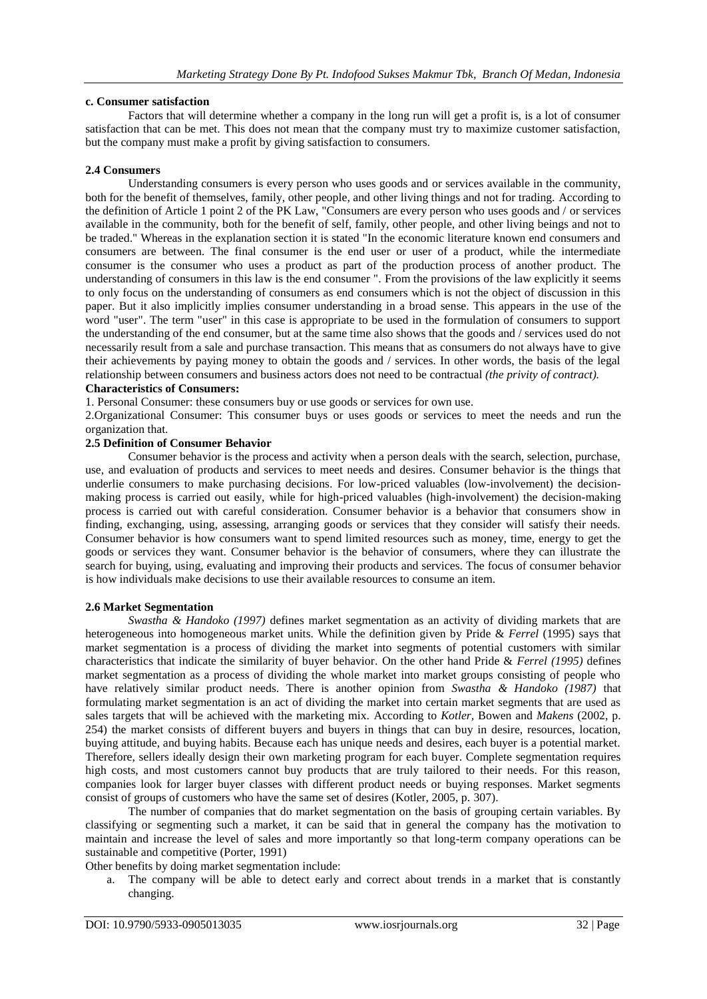# **c. Consumer satisfaction**

Factors that will determine whether a company in the long run will get a profit is, is a lot of consumer satisfaction that can be met. This does not mean that the company must try to maximize customer satisfaction, but the company must make a profit by giving satisfaction to consumers.

## **2.4 Consumers**

Understanding consumers is every person who uses goods and or services available in the community, both for the benefit of themselves, family, other people, and other living things and not for trading. According to the definition of Article 1 point 2 of the PK Law, "Consumers are every person who uses goods and / or services available in the community, both for the benefit of self, family, other people, and other living beings and not to be traded." Whereas in the explanation section it is stated "In the economic literature known end consumers and consumers are between. The final consumer is the end user or user of a product, while the intermediate consumer is the consumer who uses a product as part of the production process of another product. The understanding of consumers in this law is the end consumer ". From the provisions of the law explicitly it seems to only focus on the understanding of consumers as end consumers which is not the object of discussion in this paper. But it also implicitly implies consumer understanding in a broad sense. This appears in the use of the word "user". The term "user" in this case is appropriate to be used in the formulation of consumers to support the understanding of the end consumer, but at the same time also shows that the goods and / services used do not necessarily result from a sale and purchase transaction. This means that as consumers do not always have to give their achievements by paying money to obtain the goods and / services. In other words, the basis of the legal relationship between consumers and business actors does not need to be contractual *(the privity of contract).*

# **Characteristics of Consumers:**

1. Personal Consumer: these consumers buy or use goods or services for own use.

2.Organizational Consumer: This consumer buys or uses goods or services to meet the needs and run the organization that.

# **2.5 Definition of Consumer Behavior**

Consumer behavior is the process and activity when a person deals with the search, selection, purchase, use, and evaluation of products and services to meet needs and desires. Consumer behavior is the things that underlie consumers to make purchasing decisions. For low-priced valuables (low-involvement) the decisionmaking process is carried out easily, while for high-priced valuables (high-involvement) the decision-making process is carried out with careful consideration. Consumer behavior is a behavior that consumers show in finding, exchanging, using, assessing, arranging goods or services that they consider will satisfy their needs. Consumer behavior is how consumers want to spend limited resources such as money, time, energy to get the goods or services they want. Consumer behavior is the behavior of consumers, where they can illustrate the search for buying, using, evaluating and improving their products and services. The focus of consumer behavior is how individuals make decisions to use their available resources to consume an item.

#### **2.6 Market Segmentation**

*Swastha & Handoko (1997)* defines market segmentation as an activity of dividing markets that are heterogeneous into homogeneous market units. While the definition given by Pride & *Ferrel* (1995) says that market segmentation is a process of dividing the market into segments of potential customers with similar characteristics that indicate the similarity of buyer behavior. On the other hand Pride & *Ferrel (1995)* defines market segmentation as a process of dividing the whole market into market groups consisting of people who have relatively similar product needs. There is another opinion from *Swastha & Handoko (1987)* that formulating market segmentation is an act of dividing the market into certain market segments that are used as sales targets that will be achieved with the marketing mix. According to *Kotler,* Bowen and *Makens* (2002, p. 254) the market consists of different buyers and buyers in things that can buy in desire, resources, location, buying attitude, and buying habits. Because each has unique needs and desires, each buyer is a potential market. Therefore, sellers ideally design their own marketing program for each buyer. Complete segmentation requires high costs, and most customers cannot buy products that are truly tailored to their needs. For this reason, companies look for larger buyer classes with different product needs or buying responses. Market segments consist of groups of customers who have the same set of desires (Kotler, 2005, p. 307).

The number of companies that do market segmentation on the basis of grouping certain variables. By classifying or segmenting such a market, it can be said that in general the company has the motivation to maintain and increase the level of sales and more importantly so that long-term company operations can be sustainable and competitive (Porter, 1991)

Other benefits by doing market segmentation include:

a. The company will be able to detect early and correct about trends in a market that is constantly changing.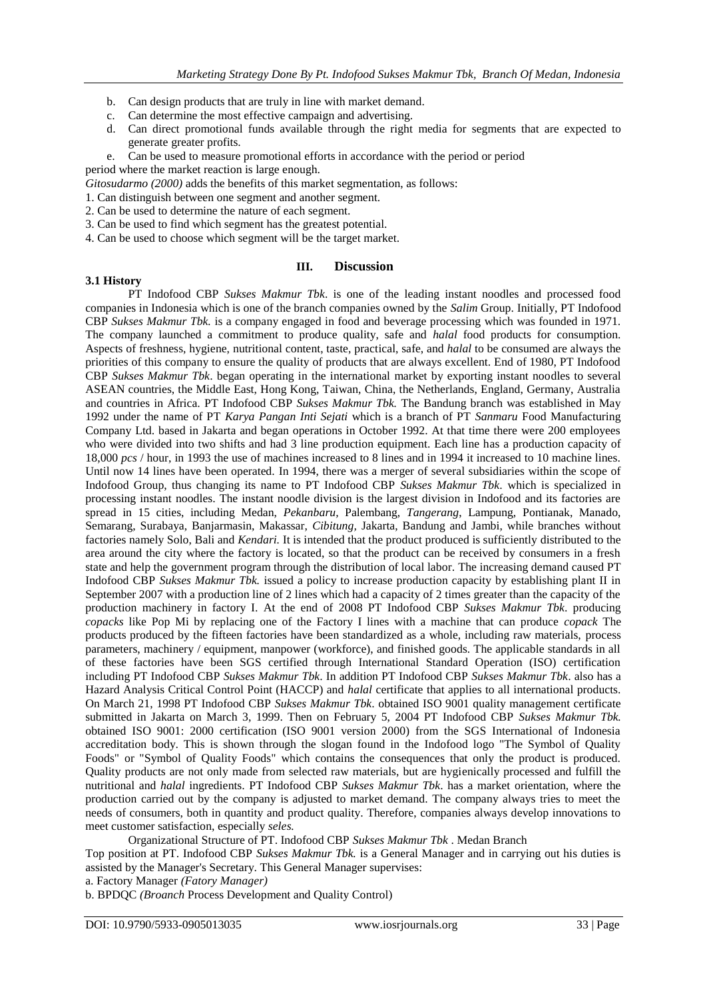- b. Can design products that are truly in line with market demand.
- c. Can determine the most effective campaign and advertising.
- d. Can direct promotional funds available through the right media for segments that are expected to generate greater profits.
- e. Can be used to measure promotional efforts in accordance with the period or period

period where the market reaction is large enough.

*Gitosudarmo (2000)* adds the benefits of this market segmentation, as follows:

- 1. Can distinguish between one segment and another segment.
- 2. Can be used to determine the nature of each segment.
- 3. Can be used to find which segment has the greatest potential.
- 4. Can be used to choose which segment will be the target market.

#### **III. Discussion**

# **3.1 History**

PT Indofood CBP *Sukses Makmur Tbk*. is one of the leading instant noodles and processed food companies in Indonesia which is one of the branch companies owned by the *Salim* Group. Initially, PT Indofood CBP *Sukses Makmur Tbk.* is a company engaged in food and beverage processing which was founded in 1971. The company launched a commitment to produce quality, safe and *halal* food products for consumption. Aspects of freshness, hygiene, nutritional content, taste, practical, safe, and *halal* to be consumed are always the priorities of this company to ensure the quality of products that are always excellent. End of 1980, PT Indofood CBP *Sukses Makmur Tbk*. began operating in the international market by exporting instant noodles to several ASEAN countries, the Middle East, Hong Kong, Taiwan, China, the Netherlands, England, Germany, Australia and countries in Africa. PT Indofood CBP *Sukses Makmur Tbk.* The Bandung branch was established in May 1992 under the name of PT *Karya Pangan Inti Sejati* which is a branch of PT *Sanmaru* Food Manufacturing Company Ltd. based in Jakarta and began operations in October 1992. At that time there were 200 employees who were divided into two shifts and had 3 line production equipment. Each line has a production capacity of 18,000 *pcs* / hour, in 1993 the use of machines increased to 8 lines and in 1994 it increased to 10 machine lines. Until now 14 lines have been operated. In 1994, there was a merger of several subsidiaries within the scope of Indofood Group, thus changing its name to PT Indofood CBP *Sukses Makmur Tbk*. which is specialized in processing instant noodles. The instant noodle division is the largest division in Indofood and its factories are spread in 15 cities, including Medan, *Pekanbaru,* Palembang, *Tangerang*, Lampung, Pontianak, Manado, Semarang, Surabaya, Banjarmasin, Makassar, *Cibitung,* Jakarta, Bandung and Jambi, while branches without factories namely Solo, Bali and *Kendari.* It is intended that the product produced is sufficiently distributed to the area around the city where the factory is located, so that the product can be received by consumers in a fresh state and help the government program through the distribution of local labor. The increasing demand caused PT Indofood CBP *Sukses Makmur Tbk.* issued a policy to increase production capacity by establishing plant II in September 2007 with a production line of 2 lines which had a capacity of 2 times greater than the capacity of the production machinery in factory I. At the end of 2008 PT Indofood CBP *Sukses Makmur Tbk*. producing *copacks* like Pop Mi by replacing one of the Factory I lines with a machine that can produce *copack* The products produced by the fifteen factories have been standardized as a whole, including raw materials, process parameters, machinery / equipment, manpower (workforce), and finished goods. The applicable standards in all of these factories have been SGS certified through International Standard Operation (ISO) certification including PT Indofood CBP *Sukses Makmur Tbk*. In addition PT Indofood CBP *Sukses Makmur Tbk*. also has a Hazard Analysis Critical Control Point (HACCP) and *halal* certificate that applies to all international products. On March 21, 1998 PT Indofood CBP *Sukses Makmur Tbk*. obtained ISO 9001 quality management certificate submitted in Jakarta on March 3, 1999. Then on February 5, 2004 PT Indofood CBP *Sukses Makmur Tbk.* obtained ISO 9001: 2000 certification (ISO 9001 version 2000) from the SGS International of Indonesia accreditation body. This is shown through the slogan found in the Indofood logo "The Symbol of Quality Foods" or "Symbol of Quality Foods" which contains the consequences that only the product is produced. Quality products are not only made from selected raw materials, but are hygienically processed and fulfill the nutritional and *halal* ingredients. PT Indofood CBP *Sukses Makmur Tbk*. has a market orientation, where the production carried out by the company is adjusted to market demand. The company always tries to meet the needs of consumers, both in quantity and product quality. Therefore, companies always develop innovations to meet customer satisfaction, especially *seles.*

Organizational Structure of PT. Indofood CBP *Sukses Makmur Tbk* . Medan Branch

Top position at PT. Indofood CBP *Sukses Makmur Tbk.* is a General Manager and in carrying out his duties is assisted by the Manager's Secretary. This General Manager supervises:

a. Factory Manager *(Fatory Manager)*

b. BPDQC *(Broanch* Process Development and Quality Control)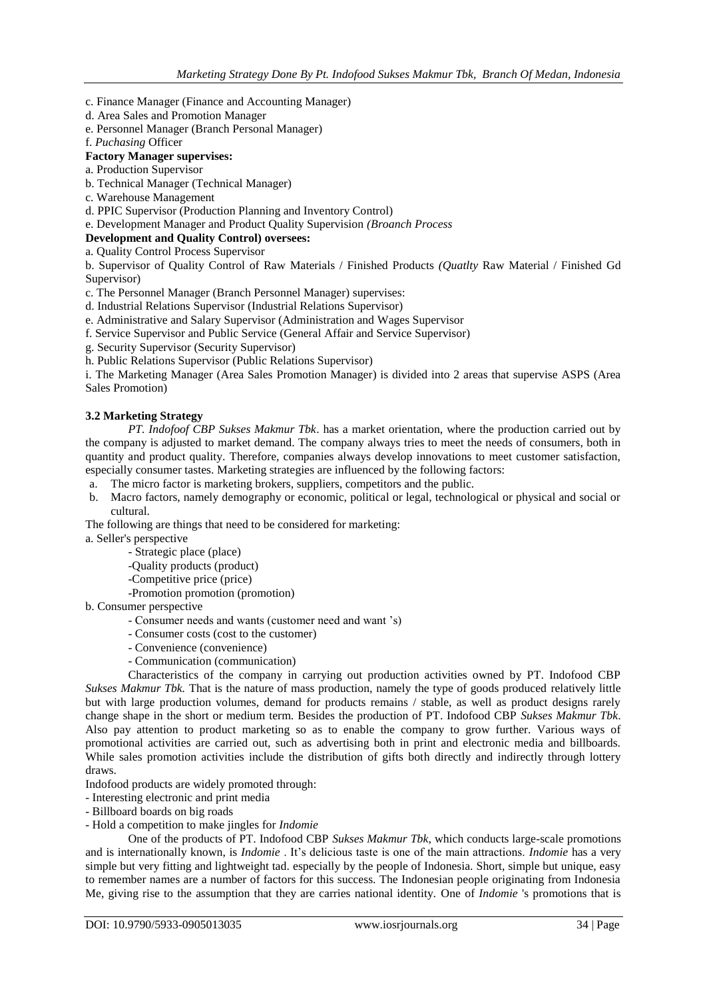- c. Finance Manager (Finance and Accounting Manager)
- d. Area Sales and Promotion Manager
- e. Personnel Manager (Branch Personal Manager)
- f. *Puchasing* Officer

# **Factory Manager supervises:**

- a. Production Supervisor
- b. Technical Manager (Technical Manager)
- c. Warehouse Management
- d. PPIC Supervisor (Production Planning and Inventory Control)
- e. Development Manager and Product Quality Supervision *(Broanch Process*

# **Development and Quality Control) oversees:**

a. Quality Control Process Supervisor

b. Supervisor of Quality Control of Raw Materials / Finished Products *(Quatlty* Raw Material / Finished Gd Supervisor)

c. The Personnel Manager (Branch Personnel Manager) supervises:

- d. Industrial Relations Supervisor (Industrial Relations Supervisor)
- e. Administrative and Salary Supervisor (Administration and Wages Supervisor
- f. Service Supervisor and Public Service (General Affair and Service Supervisor)
- g. Security Supervisor (Security Supervisor)

h. Public Relations Supervisor (Public Relations Supervisor)

i. The Marketing Manager (Area Sales Promotion Manager) is divided into 2 areas that supervise ASPS (Area Sales Promotion)

#### **3.2 Marketing Strategy**

*PT. Indofoof CBP Sukses Makmur Tbk*. has a market orientation, where the production carried out by the company is adjusted to market demand. The company always tries to meet the needs of consumers, both in quantity and product quality. Therefore, companies always develop innovations to meet customer satisfaction, especially consumer tastes. Marketing strategies are influenced by the following factors:

- a. The micro factor is marketing brokers, suppliers, competitors and the public.
- b. Macro factors, namely demography or economic, political or legal, technological or physical and social or cultural.

The following are things that need to be considered for marketing:

- a. Seller's perspective
	- Strategic place (place)
	- -Quality products (product)
	- -Competitive price (price)
		- -Promotion promotion (promotion)
- b. Consumer perspective
	- Consumer needs and wants (customer need and want 's)
	- Consumer costs (cost to the customer)
	- Convenience (convenience)
	- Communication (communication)

Characteristics of the company in carrying out production activities owned by PT. Indofood CBP *Sukses Makmur Tbk.* That is the nature of mass production, namely the type of goods produced relatively little but with large production volumes, demand for products remains / stable, as well as product designs rarely change shape in the short or medium term. Besides the production of PT. Indofood CBP *Sukses Makmur Tbk*. Also pay attention to product marketing so as to enable the company to grow further. Various ways of promotional activities are carried out, such as advertising both in print and electronic media and billboards. While sales promotion activities include the distribution of gifts both directly and indirectly through lottery draws.

Indofood products are widely promoted through:

- Interesting electronic and print media
- Billboard boards on big roads
- Hold a competition to make jingles for *Indomie*

One of the products of PT. Indofood CBP *Sukses Makmur Tbk*, which conducts large-scale promotions and is internationally known, is *Indomie* . It's delicious taste is one of the main attractions. *Indomie* has a very simple but very fitting and lightweight tad. especially by the people of Indonesia. Short, simple but unique, easy to remember names are a number of factors for this success. The Indonesian people originating from Indonesia Me, giving rise to the assumption that they are carries national identity. One of *Indomie* 's promotions that is